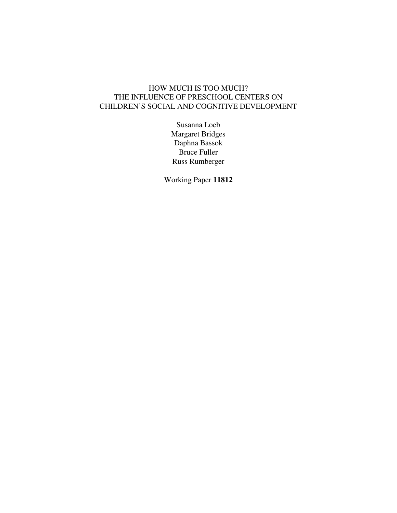# HOW MUCH IS TOO MUCH? THE INFLUENCE OF PRESCHOOL CENTERS ON CHILDREN'S SOCIAL AND COGNITIVE DEVELOPMENT

Susanna Loeb Margaret Bridges Daphna Bassok Bruce Fuller Russ Rumberger

Working Paper **11812**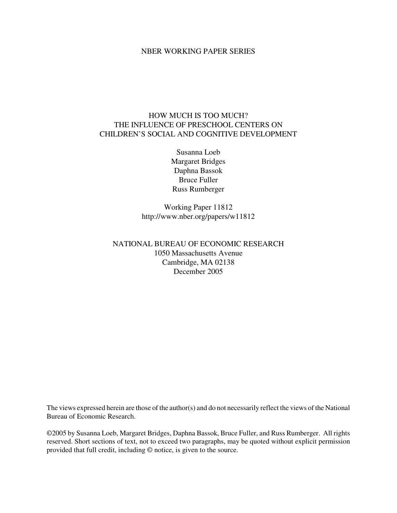## NBER WORKING PAPER SERIES

# HOW MUCH IS TOO MUCH? THE INFLUENCE OF PRESCHOOL CENTERS ON CHILDREN'S SOCIAL AND COGNITIVE DEVELOPMENT

Susanna Loeb Margaret Bridges Daphna Bassok Bruce Fuller Russ Rumberger

Working Paper 11812 http://www.nber.org/papers/w11812

NATIONAL BUREAU OF ECONOMIC RESEARCH 1050 Massachusetts Avenue Cambridge, MA 02138 December 2005

The views expressed herein are those of the author(s) and do not necessarily reflect the views of the National Bureau of Economic Research.

©2005 by Susanna Loeb, Margaret Bridges, Daphna Bassok, Bruce Fuller, and Russ Rumberger. All rights reserved. Short sections of text, not to exceed two paragraphs, may be quoted without explicit permission provided that full credit, including © notice, is given to the source.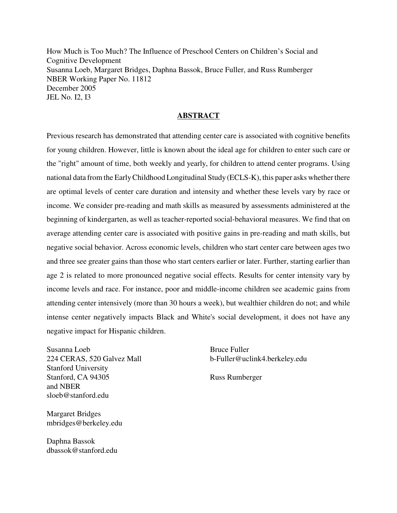How Much is Too Much? The Influence of Preschool Centers on Children's Social and Cognitive Development Susanna Loeb, Margaret Bridges, Daphna Bassok, Bruce Fuller, and Russ Rumberger NBER Working Paper No. 11812 December 2005 JEL No. I2, I3

#### **ABSTRACT**

Previous research has demonstrated that attending center care is associated with cognitive benefits for young children. However, little is known about the ideal age for children to enter such care or the "right" amount of time, both weekly and yearly, for children to attend center programs. Using national data from the EarlyChildhood Longitudinal Study (ECLS-K), this paper asks whether there are optimal levels of center care duration and intensity and whether these levels vary by race or income. We consider pre-reading and math skills as measured by assessments administered at the beginning of kindergarten, as well as teacher-reported social-behavioral measures. We find that on average attending center care is associated with positive gains in pre-reading and math skills, but negative social behavior. Across economic levels, children who start center care between ages two and three see greater gains than those who start centers earlier or later. Further, starting earlier than age 2 is related to more pronounced negative social effects. Results for center intensity vary by income levels and race. For instance, poor and middle-income children see academic gains from attending center intensively (more than 30 hours a week), but wealthier children do not; and while intense center negatively impacts Black and White's social development, it does not have any negative impact for Hispanic children.

Susanna Loeb 224 CERAS, 520 Galvez Mall Stanford University Stanford, CA 94305 and NBER sloeb@stanford.edu

Margaret Bridges mbridges@berkeley.edu

Daphna Bassok dbassok@stanford.edu Bruce Fuller b-Fuller@uclink4.berkeley.edu

Russ Rumberger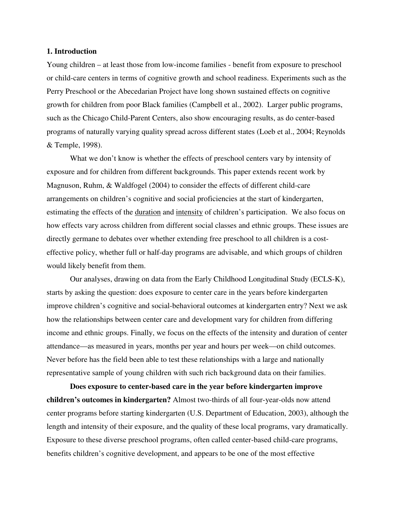#### **1. Introduction**

Young children – at least those from low-income families - benefit from exposure to preschool or child-care centers in terms of cognitive growth and school readiness. Experiments such as the Perry Preschool or the Abecedarian Project have long shown sustained effects on cognitive growth for children from poor Black families (Campbell et al., 2002). Larger public programs, such as the Chicago Child-Parent Centers, also show encouraging results, as do center-based programs of naturally varying quality spread across different states (Loeb et al., 2004; Reynolds & Temple, 1998).

What we don't know is whether the effects of preschool centers vary by intensity of exposure and for children from different backgrounds. This paper extends recent work by Magnuson, Ruhm, & Waldfogel (2004) to consider the effects of different child-care arrangements on children's cognitive and social proficiencies at the start of kindergarten, estimating the effects of the <u>duration</u> and intensity of children's participation. We also focus on how effects vary across children from different social classes and ethnic groups. These issues are directly germane to debates over whether extending free preschool to all children is a costeffective policy, whether full or half-day programs are advisable, and which groups of children would likely benefit from them.

Our analyses, drawing on data from the Early Childhood Longitudinal Study (ECLS-K), starts by asking the question: does exposure to center care in the years before kindergarten improve children's cognitive and social-behavioral outcomes at kindergarten entry? Next we ask how the relationships between center care and development vary for children from differing income and ethnic groups. Finally, we focus on the effects of the intensity and duration of center attendance—as measured in years, months per year and hours per week—on child outcomes. Never before has the field been able to test these relationships with a large and nationally representative sample of young children with such rich background data on their families.

**Does exposure to center-based care in the year before kindergarten improve children's outcomes in kindergarten?** Almost two-thirds of all four-year-olds now attend center programs before starting kindergarten (U.S. Department of Education, 2003), although the length and intensity of their exposure, and the quality of these local programs, vary dramatically. Exposure to these diverse preschool programs, often called center-based child-care programs, benefits children's cognitive development, and appears to be one of the most effective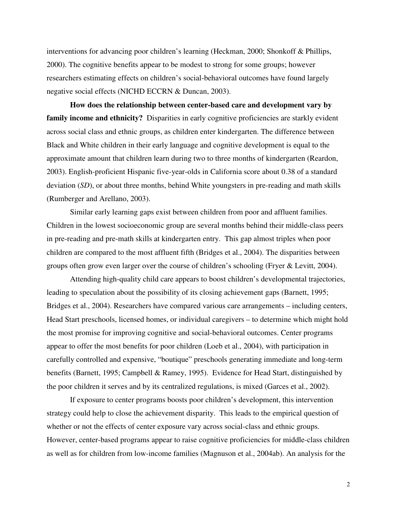interventions for advancing poor children's learning (Heckman, 2000; Shonkoff & Phillips, 2000). The cognitive benefits appear to be modest to strong for some groups; however researchers estimating effects on children's social-behavioral outcomes have found largely negative social effects (NICHD ECCRN & Duncan, 2003).

**How does the relationship between center-based care and development vary by family income and ethnicity?** Disparities in early cognitive proficiencies are starkly evident across social class and ethnic groups, as children enter kindergarten. The difference between Black and White children in their early language and cognitive development is equal to the approximate amount that children learn during two to three months of kindergarten (Reardon, 2003). English-proficient Hispanic five-year-olds in California score about 0.38 of a standard deviation (*SD*), or about three months, behind White youngsters in pre-reading and math skills (Rumberger and Arellano, 2003).

Similar early learning gaps exist between children from poor and affluent families. Children in the lowest socioeconomic group are several months behind their middle-class peers in pre-reading and pre-math skills at kindergarten entry. This gap almost triples when poor children are compared to the most affluent fifth (Bridges et al., 2004). The disparities between groups often grow even larger over the course of children's schooling (Fryer & Levitt, 2004).

Attending high-quality child care appears to boost children's developmental trajectories, leading to speculation about the possibility of its closing achievement gaps (Barnett, 1995; Bridges et al., 2004). Researchers have compared various care arrangements – including centers, Head Start preschools, licensed homes, or individual caregivers – to determine which might hold the most promise for improving cognitive and social-behavioral outcomes. Center programs appear to offer the most benefits for poor children (Loeb et al., 2004), with participation in carefully controlled and expensive, "boutique" preschools generating immediate and long-term benefits (Barnett, 1995; Campbell & Ramey, 1995). Evidence for Head Start, distinguished by the poor children it serves and by its centralized regulations, is mixed (Garces et al., 2002).

If exposure to center programs boosts poor children's development, this intervention strategy could help to close the achievement disparity. This leads to the empirical question of whether or not the effects of center exposure vary across social-class and ethnic groups. However, center-based programs appear to raise cognitive proficiencies for middle-class children as well as for children from low-income families (Magnuson et al., 2004ab). An analysis for the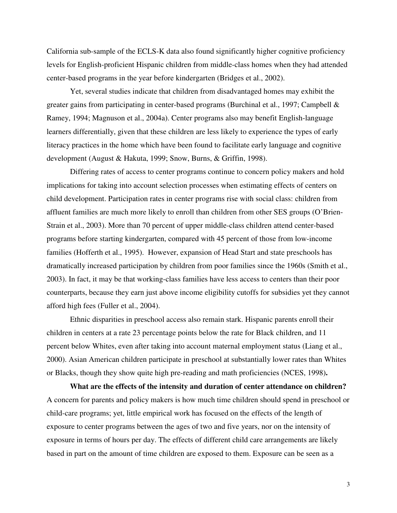California sub-sample of the ECLS-K data also found significantly higher cognitive proficiency levels for English-proficient Hispanic children from middle-class homes when they had attended center-based programs in the year before kindergarten (Bridges et al., 2002).

Yet, several studies indicate that children from disadvantaged homes may exhibit the greater gains from participating in center-based programs (Burchinal et al., 1997; Campbell & Ramey, 1994; Magnuson et al., 2004a). Center programs also may benefit English-language learners differentially, given that these children are less likely to experience the types of early literacy practices in the home which have been found to facilitate early language and cognitive development (August & Hakuta, 1999; Snow, Burns, & Griffin, 1998).

Differing rates of access to center programs continue to concern policy makers and hold implications for taking into account selection processes when estimating effects of centers on child development. Participation rates in center programs rise with social class: children from affluent families are much more likely to enroll than children from other SES groups (O'Brien-Strain et al., 2003). More than 70 percent of upper middle-class children attend center-based programs before starting kindergarten, compared with 45 percent of those from low-income families (Hofferth et al., 1995). However, expansion of Head Start and state preschools has dramatically increased participation by children from poor families since the 1960s (Smith et al., 2003). In fact, it may be that working-class families have less access to centers than their poor counterparts, because they earn just above income eligibility cutoffs for subsidies yet they cannot afford high fees (Fuller et al., 2004).

Ethnic disparities in preschool access also remain stark. Hispanic parents enroll their children in centers at a rate 23 percentage points below the rate for Black children, and 11 percent below Whites, even after taking into account maternal employment status (Liang et al., 2000). Asian American children participate in preschool at substantially lower rates than Whites or Blacks, though they show quite high pre-reading and math proficiencies (NCES, 1998)**.**

**What are the effects of the intensity and duration of center attendance on children?** A concern for parents and policy makers is how much time children should spend in preschool or child-care programs; yet, little empirical work has focused on the effects of the length of exposure to center programs between the ages of two and five years, nor on the intensity of exposure in terms of hours per day. The effects of different child care arrangements are likely based in part on the amount of time children are exposed to them. Exposure can be seen as a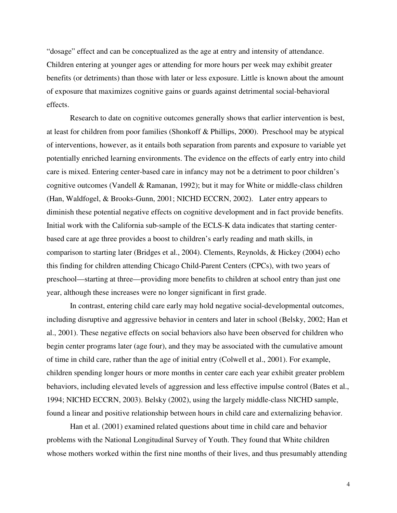"dosage" effect and can be conceptualized as the age at entry and intensity of attendance. Children entering at younger ages or attending for more hours per week may exhibit greater benefits (or detriments) than those with later or less exposure. Little is known about the amount of exposure that maximizes cognitive gains or guards against detrimental social-behavioral effects.

Research to date on cognitive outcomes generally shows that earlier intervention is best, at least for children from poor families (Shonkoff & Phillips, 2000). Preschool may be atypical of interventions, however, as it entails both separation from parents and exposure to variable yet potentially enriched learning environments. The evidence on the effects of early entry into child care is mixed. Entering center-based care in infancy may not be a detriment to poor children's cognitive outcomes (Vandell & Ramanan, 1992); but it may for White or middle-class children (Han, Waldfogel, & Brooks-Gunn, 2001; NICHD ECCRN, 2002). Later entry appears to diminish these potential negative effects on cognitive development and in fact provide benefits. Initial work with the California sub-sample of the ECLS-K data indicates that starting centerbased care at age three provides a boost to children's early reading and math skills, in comparison to starting later (Bridges et al., 2004). Clements, Reynolds, & Hickey (2004) echo this finding for children attending Chicago Child-Parent Centers (CPCs), with two years of preschool—starting at three—providing more benefits to children at school entry than just one year, although these increases were no longer significant in first grade.

In contrast, entering child care early may hold negative social-developmental outcomes, including disruptive and aggressive behavior in centers and later in school (Belsky, 2002; Han et al., 2001). These negative effects on social behaviors also have been observed for children who begin center programs later (age four), and they may be associated with the cumulative amount of time in child care, rather than the age of initial entry (Colwell et al., 2001). For example, children spending longer hours or more months in center care each year exhibit greater problem behaviors, including elevated levels of aggression and less effective impulse control (Bates et al., 1994; NICHD ECCRN, 2003). Belsky (2002), using the largely middle-class NICHD sample, found a linear and positive relationship between hours in child care and externalizing behavior.

Han et al. (2001) examined related questions about time in child care and behavior problems with the National Longitudinal Survey of Youth. They found that White children whose mothers worked within the first nine months of their lives, and thus presumably attending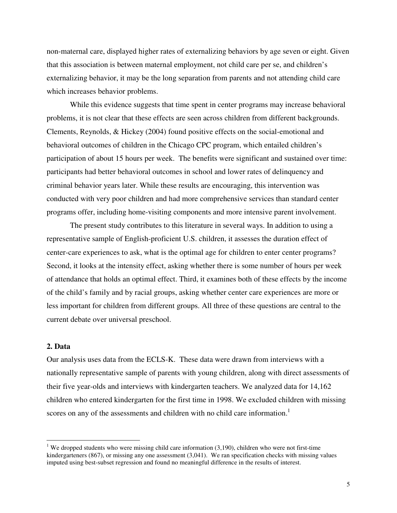non-maternal care, displayed higher rates of externalizing behaviors by age seven or eight. Given that this association is between maternal employment, not child care per se, and children's externalizing behavior, it may be the long separation from parents and not attending child care which increases behavior problems.

While this evidence suggests that time spent in center programs may increase behavioral problems, it is not clear that these effects are seen across children from different backgrounds. Clements, Reynolds, & Hickey (2004) found positive effects on the social-emotional and behavioral outcomes of children in the Chicago CPC program, which entailed children's participation of about 15 hours per week. The benefits were significant and sustained over time: participants had better behavioral outcomes in school and lower rates of delinquency and criminal behavior years later. While these results are encouraging, this intervention was conducted with very poor children and had more comprehensive services than standard center programs offer, including home-visiting components and more intensive parent involvement.

The present study contributes to this literature in several ways. In addition to using a representative sample of English-proficient U.S. children, it assesses the duration effect of center-care experiences to ask, what is the optimal age for children to enter center programs? Second, it looks at the intensity effect, asking whether there is some number of hours per week of attendance that holds an optimal effect. Third, it examines both of these effects by the income of the child's family and by racial groups, asking whether center care experiences are more or less important for children from different groups. All three of these questions are central to the current debate over universal preschool.

#### **2. Data**

Our analysis uses data from the ECLS-K. These data were drawn from interviews with a nationally representative sample of parents with young children, along with direct assessments of their five year-olds and interviews with kindergarten teachers. We analyzed data for 14,162 children who entered kindergarten for the first time in 1998. We excluded children with missing scores on any of the assessments and children with no child care information.<sup>1</sup>

<sup>&</sup>lt;sup>1</sup> We dropped students who were missing child care information  $(3,190)$ , children who were not first-time kindergarteners (867), or missing any one assessment (3,041). We ran specification checks with missing values imputed using best-subset regression and found no meaningful difference in the results of interest.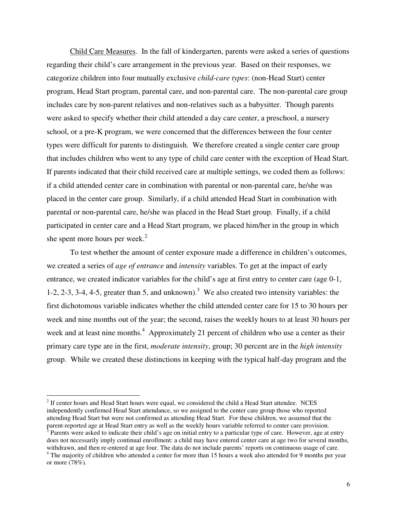Child Care Measures. In the fall of kindergarten, parents were asked a series of questions regarding their child's care arrangement in the previous year. Based on their responses, we categorize children into four mutually exclusive *child-care types*: (non-Head Start) center program, Head Start program, parental care, and non-parental care. The non-parental care group includes care by non-parent relatives and non-relatives such as a babysitter. Though parents were asked to specify whether their child attended a day care center, a preschool, a nursery school, or a pre-K program, we were concerned that the differences between the four center types were difficult for parents to distinguish. We therefore created a single center care group that includes children who went to any type of child care center with the exception of Head Start. If parents indicated that their child received care at multiple settings, we coded them as follows: if a child attended center care in combination with parental or non-parental care, he/she was placed in the center care group. Similarly, if a child attended Head Start in combination with parental or non-parental care, he/she was placed in the Head Start group. Finally, if a child participated in center care and a Head Start program, we placed him/her in the group in which she spent more hours per week.<sup>2</sup>

To test whether the amount of center exposure made a difference in children's outcomes, we created a series of *age of entrance* and *intensity* variables. To get at the impact of early entrance, we created indicator variables for the child's age at first entry to center care (age 0-1, 1-2, 2-3, 3-4, 4-5, greater than 5, and unknown). <sup>3</sup> We also created two intensity variables: the first dichotomous variable indicates whether the child attended center care for 15 to 30 hours per week and nine months out of the year; the second, raises the weekly hours to at least 30 hours per week and at least nine months.<sup>4</sup> Approximately 21 percent of children who use a center as their primary care type are in the first, *moderate intensity*, group; 30 percent are in the *high intensity* group. While we created these distinctions in keeping with the typical half-day program and the

 $2$  If center hours and Head Start hours were equal, we considered the child a Head Start attendee. NCES independently confirmed Head Start attendance, so we assigned to the center care group those who reported attending Head Start but were not confirmed as attending Head Start. For these children, we assumed that the parent-reported age at Head Start entry as well as the weekly hours variable referred to center care provision.<br><sup>3</sup> Parents were asked to indicate their child's age on initial entry to a particular type of care. However, a

does not necessarily imply continual enrollment: a child may have entered center care at age two for several months, withdrawn, and then re-entered at age four. The data do not include parents' reports on continuous usage of care.

<sup>&</sup>lt;sup>4</sup> The maiority of children who attended a center for more than 15 hours a week also attended for 9 months per year or more (78%).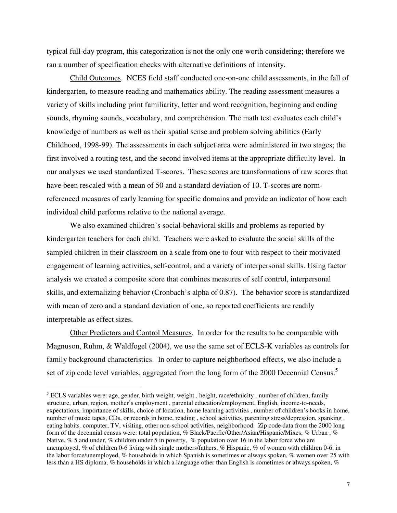typical full-day program, this categorization is not the only one worth considering; therefore we ran a number of specification checks with alternative definitions of intensity.

Child Outcomes. NCES field staff conducted one-on-one child assessments, in the fall of kindergarten, to measure reading and mathematics ability. The reading assessment measures a variety of skills including print familiarity, letter and word recognition, beginning and ending sounds, rhyming sounds, vocabulary, and comprehension. The math test evaluates each child's knowledge of numbers as well as their spatial sense and problem solving abilities (Early Childhood, 1998-99). The assessments in each subject area were administered in two stages; the first involved a routing test, and the second involved items at the appropriate difficulty level. In our analyses we used standardized T-scores. These scores are transformations of raw scores that have been rescaled with a mean of 50 and a standard deviation of 10. T-scores are normreferenced measures of early learning for specific domains and provide an indicator of how each individual child performs relative to the national average.

We also examined children's social-behavioral skills and problems as reported by kindergarten teachers for each child. Teachers were asked to evaluate the social skills of the sampled children in their classroom on a scale from one to four with respect to their motivated engagement of learning activities, self-control, and a variety of interpersonal skills. Using factor analysis we created a composite score that combines measures of self control, interpersonal skills, and externalizing behavior (Cronbach's alpha of 0.87). The behavior score is standardized with mean of zero and a standard deviation of one, so reported coefficients are readily interpretable as effect sizes.

Other Predictors and Control Measures. In order for the results to be comparable with Magnuson, Ruhm, & Waldfogel (2004), we use the same set of ECLS-K variables as controls for family background characteristics. In order to capture neighborhood effects, we also include a set of zip code level variables, aggregated from the long form of the 2000 Decennial Census.<sup>5</sup>

<sup>5</sup> ECLS variables were: age, gender, birth weight, weight , height, race/ethnicity *,* number of children, family structure, urban, region, mother's employment , parental education/employment, English, income-to-needs, expectations, importance of skills, choice of location, home learning activities , number of children's books in home, number of music tapes, CDs, or records in home, reading , school activities*,* parenting stress/depression, spanking , eating habits*,* computer, TV, visiting, other non-school activities, neighborhood. Zip code data from the 2000 long form of the decennial census were: total population, % Black/Pacific/Other/Asian/Hispanic/Mixes, % Urban , % Native, % 5 and under, % children under 5 in poverty, % population over 16 in the labor force who are unemployed, % of children 0-6 living with single mothers/fathers, % Hispanic, % of women with children 0-6, in the labor force/unemployed, % households in which Spanish is sometimes or always spoken, % women over 25 with less than a HS diploma, % households in which a language other than English is sometimes or always spoken, %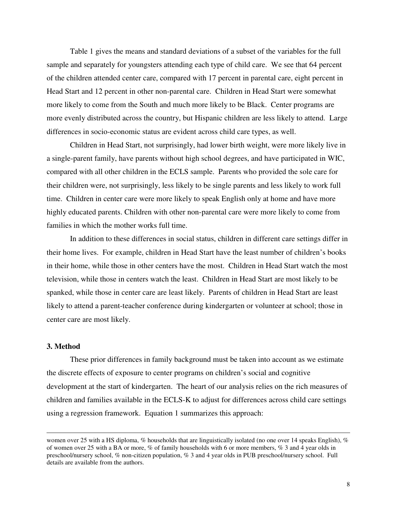Table 1 gives the means and standard deviations of a subset of the variables for the full sample and separately for youngsters attending each type of child care. We see that 64 percent of the children attended center care, compared with 17 percent in parental care, eight percent in Head Start and 12 percent in other non-parental care. Children in Head Start were somewhat more likely to come from the South and much more likely to be Black. Center programs are more evenly distributed across the country, but Hispanic children are less likely to attend. Large differences in socio-economic status are evident across child care types, as well.

Children in Head Start, not surprisingly, had lower birth weight, were more likely live in a single-parent family, have parents without high school degrees, and have participated in WIC, compared with all other children in the ECLS sample. Parents who provided the sole care for their children were, not surprisingly, less likely to be single parents and less likely to work full time. Children in center care were more likely to speak English only at home and have more highly educated parents. Children with other non-parental care were more likely to come from families in which the mother works full time.

In addition to these differences in social status, children in different care settings differ in their home lives. For example, children in Head Start have the least number of children's books in their home, while those in other centers have the most. Children in Head Start watch the most television, while those in centers watch the least. Children in Head Start are most likely to be spanked, while those in center care are least likely. Parents of children in Head Start are least likely to attend a parent-teacher conference during kindergarten or volunteer at school; those in center care are most likely.

#### **3. Method**

These prior differences in family background must be taken into account as we estimate the discrete effects of exposure to center programs on children's social and cognitive development at the start of kindergarten. The heart of our analysis relies on the rich measures of children and families available in the ECLS-K to adjust for differences across child care settings using a regression framework. Equation 1 summarizes this approach:

women over 25 with a HS diploma, % households that are linguistically isolated (no one over 14 speaks English), % of women over 25 with a BA or more, % of family households with 6 or more members, % 3 and 4 year olds in preschool/nursery school, % non-citizen population, % 3 and 4 year olds in PUB preschool/nursery school. Full details are available from the authors.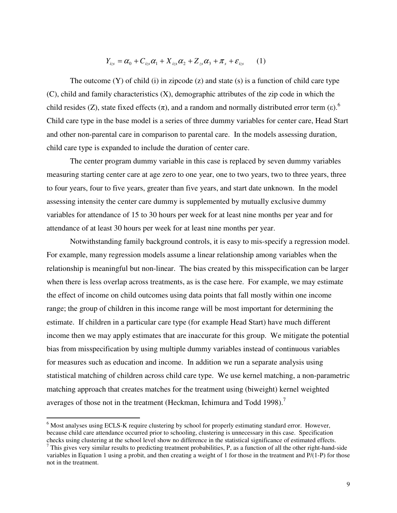$$
Y_{izs} = \alpha_0 + C_{izs}\alpha_1 + X_{izs}\alpha_2 + Z_{zs}\alpha_3 + \pi_s + \varepsilon_{izs} \qquad (1)
$$

The outcome  $(Y)$  of child (i) in zipcode (z) and state (s) is a function of child care type (C), child and family characteristics (X), demographic attributes of the zip code in which the child resides (Z), state fixed effects  $(\pi)$ , and a random and normally distributed error term ( $\varepsilon$ ). Child care type in the base model is a series of three dummy variables for center care, Head Start and other non-parental care in comparison to parental care. In the models assessing duration, child care type is expanded to include the duration of center care.

The center program dummy variable in this case is replaced by seven dummy variables measuring starting center care at age zero to one year, one to two years, two to three years, three to four years, four to five years, greater than five years, and start date unknown. In the model assessing intensity the center care dummy is supplemented by mutually exclusive dummy variables for attendance of 15 to 30 hours per week for at least nine months per year and for attendance of at least 30 hours per week for at least nine months per year.

Notwithstanding family background controls, it is easy to mis-specify a regression model. For example, many regression models assume a linear relationship among variables when the relationship is meaningful but non-linear. The bias created by this misspecification can be larger when there is less overlap across treatments, as is the case here. For example, we may estimate the effect of income on child outcomes using data points that fall mostly within one income range; the group of children in this income range will be most important for determining the estimate. If children in a particular care type (for example Head Start) have much different income then we may apply estimates that are inaccurate for this group. We mitigate the potential bias from misspecification by using multiple dummy variables instead of continuous variables for measures such as education and income. In addition we run a separate analysis using statistical matching of children across child care type. We use kernel matching, a non-parametric matching approach that creates matches for the treatment using (biweight) kernel weighted averages of those not in the treatment (Heckman, Ichimura and Todd 1998).<sup>7</sup>

<sup>&</sup>lt;sup>6</sup> Most analyses using ECLS-K require clustering by school for properly estimating standard error. However, because child care attendance occurred prior to schooling, clustering is unnecessary in this case. Specification checks using clustering at the school level show no difference in the statistical significance of estimated effects.

 $<sup>7</sup>$  This gives very similar results to predicting treatment probabilities, P, as a function of all the other right-hand-side</sup> variables in Equation 1 using a probit, and then creating a weight of 1 for those in the treatment and P/(1-P) for those not in the treatment.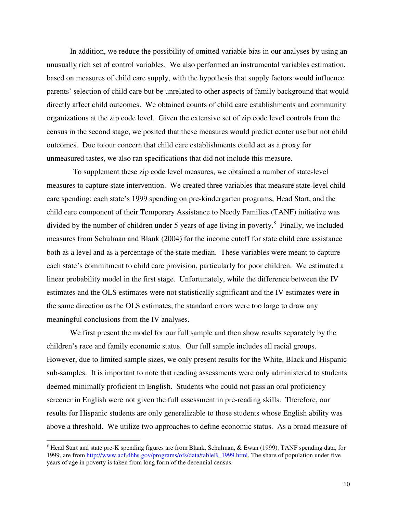In addition, we reduce the possibility of omitted variable bias in our analyses by using an unusually rich set of control variables. We also performed an instrumental variables estimation, based on measures of child care supply, with the hypothesis that supply factors would influence parents' selection of child care but be unrelated to other aspects of family background that would directly affect child outcomes. We obtained counts of child care establishments and community organizations at the zip code level. Given the extensive set of zip code level controls from the census in the second stage, we posited that these measures would predict center use but not child outcomes. Due to our concern that child care establishments could act as a proxy for unmeasured tastes, we also ran specifications that did not include this measure.

To supplement these zip code level measures, we obtained a number of state-level measures to capture state intervention. We created three variables that measure state-level child care spending: each state's 1999 spending on pre-kindergarten programs, Head Start, and the child care component of their Temporary Assistance to Needy Families (TANF) initiative was divided by the number of children under 5 years of age living in poverty.<sup>8</sup> Finally, we included measures from Schulman and Blank (2004) for the income cutoff for state child care assistance both as a level and as a percentage of the state median. These variables were meant to capture each state's commitment to child care provision, particularly for poor children. We estimated a linear probability model in the first stage. Unfortunately, while the difference between the IV estimates and the OLS estimates were not statistically significant and the IV estimates were in the same direction as the OLS estimates, the standard errors were too large to draw any meaningful conclusions from the IV analyses.

We first present the model for our full sample and then show results separately by the children's race and family economic status. Our full sample includes all racial groups. However, due to limited sample sizes, we only present results for the White, Black and Hispanic sub-samples. It is important to note that reading assessments were only administered to students deemed minimally proficient in English. Students who could not pass an oral proficiency screener in English were not given the full assessment in pre-reading skills. Therefore, our results for Hispanic students are only generalizable to those students whose English ability was above a threshold. We utilize two approaches to define economic status. As a broad measure of

<sup>&</sup>lt;sup>8</sup> Head Start and state pre-K spending figures are from Blank, Schulman, & Ewan (1999). TANF spending data, for 1999, are from http://www.acf.dhhs.gov/programs/ofs/data/tableB\_1999.html. The share of population under five years of age in poverty is taken from long form of the decennial census.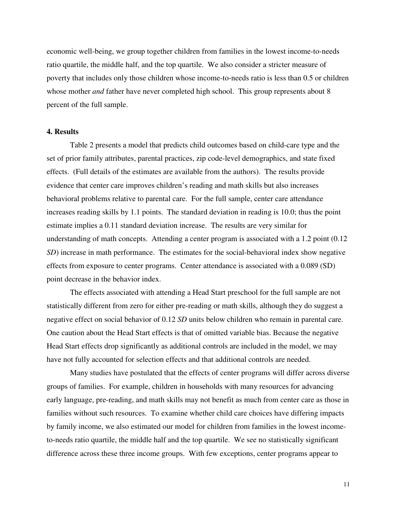economic well-being, we group together children from families in the lowest income-to-needs ratio quartile, the middle half, and the top quartile. We also consider a stricter measure of poverty that includes only those children whose income-to-needs ratio is less than 0.5 or children whose mother *and* father have never completed high school. This group represents about 8 percent of the full sample.

#### **4. Results**

Table 2 presents a model that predicts child outcomes based on child-care type and the set of prior family attributes, parental practices, zip code-level demographics, and state fixed effects. (Full details of the estimates are available from the authors). The results provide evidence that center care improves children's reading and math skills but also increases behavioral problems relative to parental care. For the full sample, center care attendance increases reading skills by 1.1 points. The standard deviation in reading is 10.0; thus the point estimate implies a 0.11 standard deviation increase. The results are very similar for understanding of math concepts. Attending a center program is associated with a 1.2 point (0.12 *SD*) increase in math performance. The estimates for the social-behavioral index show negative effects from exposure to center programs. Center attendance is associated with a 0.089 (SD) point decrease in the behavior index.

The effects associated with attending a Head Start preschool for the full sample are not statistically different from zero for either pre-reading or math skills, although they do suggest a negative effect on social behavior of 0.12 *SD* units below children who remain in parental care. One caution about the Head Start effects is that of omitted variable bias. Because the negative Head Start effects drop significantly as additional controls are included in the model, we may have not fully accounted for selection effects and that additional controls are needed.

Many studies have postulated that the effects of center programs will differ across diverse groups of families. For example, children in households with many resources for advancing early language, pre-reading, and math skills may not benefit as much from center care as those in families without such resources. To examine whether child care choices have differing impacts by family income, we also estimated our model for children from families in the lowest incometo-needs ratio quartile, the middle half and the top quartile. We see no statistically significant difference across these three income groups. With few exceptions, center programs appear to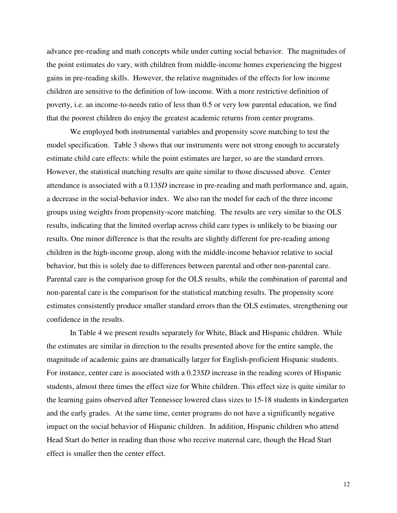advance pre-reading and math concepts while under cutting social behavior. The magnitudes of the point estimates do vary, with children from middle-income homes experiencing the biggest gains in pre-reading skills. However, the relative magnitudes of the effects for low income children are sensitive to the definition of low-income. With a more restrictive definition of poverty, i.e. an income-to-needs ratio of less than 0.5 or very low parental education, we find that the poorest children do enjoy the greatest academic returns from center programs.

We employed both instrumental variables and propensity score matching to test the model specification. Table 3 shows that our instruments were not strong enough to accurately estimate child care effects: while the point estimates are larger, so are the standard errors. However, the statistical matching results are quite similar to those discussed above. Center attendance is associated with a 0.13*SD* increase in pre-reading and math performance and, again, a decrease in the social-behavior index. We also ran the model for each of the three income groups using weights from propensity-score matching. The results are very similar to the OLS results, indicating that the limited overlap across child care types is unlikely to be biasing our results. One minor difference is that the results are slightly different for pre-reading among children in the high-income group, along with the middle-income behavior relative to social behavior, but this is solely due to differences between parental and other non-parental care. Parental care is the comparison group for the OLS results, while the combination of parental and non-parental care is the comparison for the statistical matching results. The propensity score estimates consistently produce smaller standard errors than the OLS estimates, strengthening our confidence in the results.

In Table 4 we present results separately for White, Black and Hispanic children. While the estimates are similar in direction to the results presented above for the entire sample, the magnitude of academic gains are dramatically larger for English-proficient Hispanic students. For instance, center care is associated with a 0.23*SD* increase in the reading scores of Hispanic students, almost three times the effect size for White children. This effect size is quite similar to the learning gains observed after Tennessee lowered class sizes to 15-18 students in kindergarten and the early grades. At the same time, center programs do not have a significantly negative impact on the social behavior of Hispanic children. In addition, Hispanic children who attend Head Start do better in reading than those who receive maternal care, though the Head Start effect is smaller then the center effect.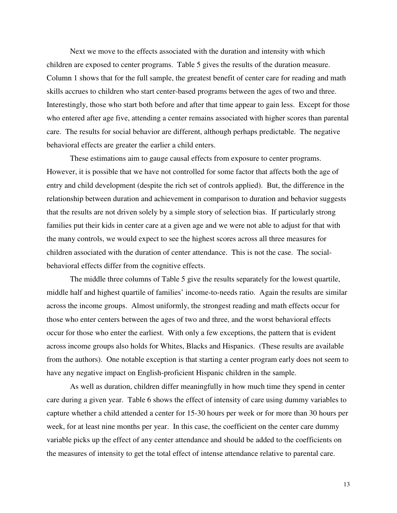Next we move to the effects associated with the duration and intensity with which children are exposed to center programs. Table 5 gives the results of the duration measure. Column 1 shows that for the full sample, the greatest benefit of center care for reading and math skills accrues to children who start center-based programs between the ages of two and three. Interestingly, those who start both before and after that time appear to gain less. Except for those who entered after age five, attending a center remains associated with higher scores than parental care. The results for social behavior are different, although perhaps predictable. The negative behavioral effects are greater the earlier a child enters.

These estimations aim to gauge causal effects from exposure to center programs. However, it is possible that we have not controlled for some factor that affects both the age of entry and child development (despite the rich set of controls applied). But, the difference in the relationship between duration and achievement in comparison to duration and behavior suggests that the results are not driven solely by a simple story of selection bias. If particularly strong families put their kids in center care at a given age and we were not able to adjust for that with the many controls, we would expect to see the highest scores across all three measures for children associated with the duration of center attendance. This is not the case. The socialbehavioral effects differ from the cognitive effects.

The middle three columns of Table 5 give the results separately for the lowest quartile, middle half and highest quartile of families' income-to-needs ratio. Again the results are similar across the income groups. Almost uniformly, the strongest reading and math effects occur for those who enter centers between the ages of two and three, and the worst behavioral effects occur for those who enter the earliest. With only a few exceptions, the pattern that is evident across income groups also holds for Whites, Blacks and Hispanics. (These results are available from the authors). One notable exception is that starting a center program early does not seem to have any negative impact on English-proficient Hispanic children in the sample.

As well as duration, children differ meaningfully in how much time they spend in center care during a given year. Table 6 shows the effect of intensity of care using dummy variables to capture whether a child attended a center for 15-30 hours per week or for more than 30 hours per week, for at least nine months per year. In this case, the coefficient on the center care dummy variable picks up the effect of any center attendance and should be added to the coefficients on the measures of intensity to get the total effect of intense attendance relative to parental care.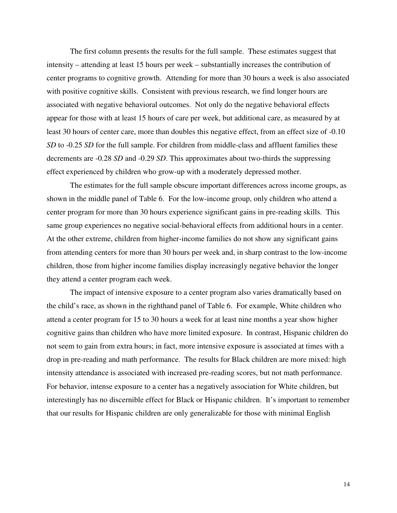The first column presents the results for the full sample. These estimates suggest that intensity – attending at least 15 hours per week – substantially increases the contribution of center programs to cognitive growth. Attending for more than 30 hours a week is also associated with positive cognitive skills. Consistent with previous research, we find longer hours are associated with negative behavioral outcomes. Not only do the negative behavioral effects appear for those with at least 15 hours of care per week, but additional care, as measured by at least 30 hours of center care, more than doubles this negative effect, from an effect size of -0.10 *SD* to -0.25 *SD* for the full sample. For children from middle-class and affluent families these decrements are -0.28 *SD* and -0.29 *SD*. This approximates about two-thirds the suppressing effect experienced by children who grow-up with a moderately depressed mother.

The estimates for the full sample obscure important differences across income groups, as shown in the middle panel of Table 6. For the low-income group, only children who attend a center program for more than 30 hours experience significant gains in pre-reading skills. This same group experiences no negative social-behavioral effects from additional hours in a center. At the other extreme, children from higher-income families do not show any significant gains from attending centers for more than 30 hours per week and, in sharp contrast to the low-income children, those from higher income families display increasingly negative behavior the longer they attend a center program each week.

The impact of intensive exposure to a center program also varies dramatically based on the child's race, as shown in the righthand panel of Table 6. For example, White children who attend a center program for 15 to 30 hours a week for at least nine months a year show higher cognitive gains than children who have more limited exposure. In contrast, Hispanic children do not seem to gain from extra hours; in fact, more intensive exposure is associated at times with a drop in pre-reading and math performance. The results for Black children are more mixed: high intensity attendance is associated with increased pre-reading scores, but not math performance. For behavior, intense exposure to a center has a negatively association for White children, but interestingly has no discernible effect for Black or Hispanic children. It's important to remember that our results for Hispanic children are only generalizable for those with minimal English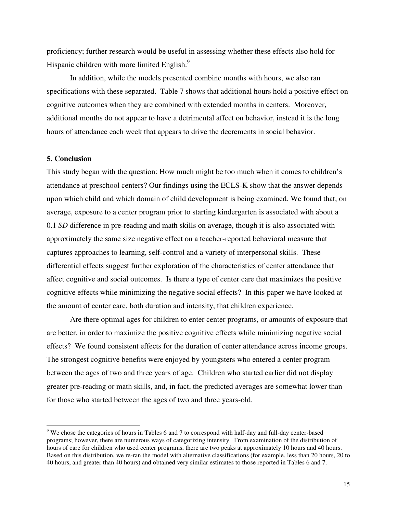proficiency; further research would be useful in assessing whether these effects also hold for Hispanic children with more limited English.<sup>9</sup>

In addition, while the models presented combine months with hours, we also ran specifications with these separated. Table 7 shows that additional hours hold a positive effect on cognitive outcomes when they are combined with extended months in centers. Moreover, additional months do not appear to have a detrimental affect on behavior, instead it is the long hours of attendance each week that appears to drive the decrements in social behavior.

#### **5. Conclusion**

This study began with the question: How much might be too much when it comes to children's attendance at preschool centers? Our findings using the ECLS-K show that the answer depends upon which child and which domain of child development is being examined. We found that, on average, exposure to a center program prior to starting kindergarten is associated with about a 0.1 *SD* difference in pre-reading and math skills on average, though it is also associated with approximately the same size negative effect on a teacher-reported behavioral measure that captures approaches to learning, self-control and a variety of interpersonal skills. These differential effects suggest further exploration of the characteristics of center attendance that affect cognitive and social outcomes. Is there a type of center care that maximizes the positive cognitive effects while minimizing the negative social effects? In this paper we have looked at the amount of center care, both duration and intensity, that children experience.

Are there optimal ages for children to enter center programs, or amounts of exposure that are better, in order to maximize the positive cognitive effects while minimizing negative social effects? We found consistent effects for the duration of center attendance across income groups. The strongest cognitive benefits were enjoyed by youngsters who entered a center program between the ages of two and three years of age. Children who started earlier did not display greater pre-reading or math skills, and, in fact, the predicted averages are somewhat lower than for those who started between the ages of two and three years-old.

<sup>&</sup>lt;sup>9</sup> We chose the categories of hours in Tables 6 and 7 to correspond with half-day and full-day center-based programs; however, there are numerous ways of categorizing intensity. From examination of the distribution of hours of care for children who used center programs, there are two peaks at approximately 10 hours and 40 hours. Based on this distribution, we re-ran the model with alternative classifications (for example, less than 20 hours, 20 to 40 hours, and greater than 40 hours) and obtained very similar estimates to those reported in Tables 6 and 7.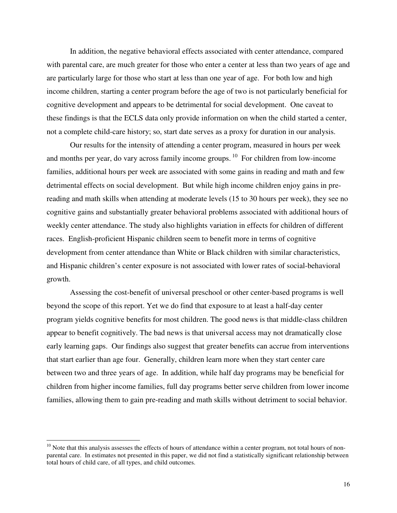In addition, the negative behavioral effects associated with center attendance, compared with parental care, are much greater for those who enter a center at less than two years of age and are particularly large for those who start at less than one year of age. For both low and high income children, starting a center program before the age of two is not particularly beneficial for cognitive development and appears to be detrimental for social development. One caveat to these findings is that the ECLS data only provide information on when the child started a center, not a complete child-care history; so, start date serves as a proxy for duration in our analysis.

Our results for the intensity of attending a center program, measured in hours per week and months per year, do vary across family income groups.<sup>10</sup> For children from low-income families, additional hours per week are associated with some gains in reading and math and few detrimental effects on social development. But while high income children enjoy gains in prereading and math skills when attending at moderate levels (15 to 30 hours per week), they see no cognitive gains and substantially greater behavioral problems associated with additional hours of weekly center attendance. The study also highlights variation in effects for children of different races. English-proficient Hispanic children seem to benefit more in terms of cognitive development from center attendance than White or Black children with similar characteristics, and Hispanic children's center exposure is not associated with lower rates of social-behavioral growth.

Assessing the cost-benefit of universal preschool or other center-based programs is well beyond the scope of this report. Yet we do find that exposure to at least a half-day center program yields cognitive benefits for most children. The good news is that middle-class children appear to benefit cognitively. The bad news is that universal access may not dramatically close early learning gaps. Our findings also suggest that greater benefits can accrue from interventions that start earlier than age four. Generally, children learn more when they start center care between two and three years of age. In addition, while half day programs may be beneficial for children from higher income families, full day programs better serve children from lower income families, allowing them to gain pre-reading and math skills without detriment to social behavior.

 $10$  Note that this analysis assesses the effects of hours of attendance within a center program, not total hours of nonparental care. In estimates not presented in this paper, we did not find a statistically significant relationship between total hours of child care, of all types, and child outcomes.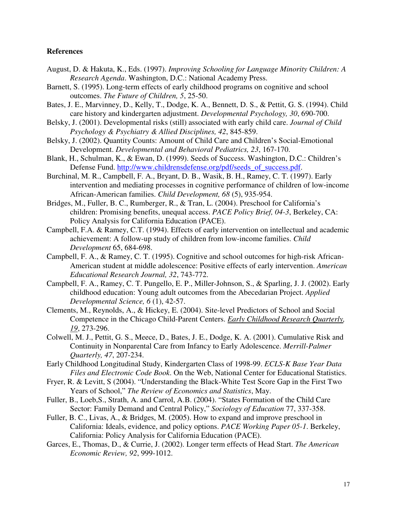#### **References**

- August, D. & Hakuta, K., Eds. (1997). *Improving Schooling for Language Minority Children: A Research Agenda*. Washington, D.C.: National Academy Press.
- Barnett, S. (1995). Long-term effects of early childhood programs on cognitive and school outcomes. *The Future of Children, 5*, 25-50.
- Bates, J. E., Marvinney, D., Kelly, T., Dodge, K. A., Bennett, D. S., & Pettit, G. S. (1994). Child care history and kindergarten adjustment. *Developmental Psychology, 30*, 690-700.
- Belsky, J. (2001). Developmental risks (still) associated with early child care. *Journal of Child Psychology & Psychiatry & Allied Disciplines, 42*, 845-859.
- Belsky, J. (2002). Quantity Counts: Amount of Child Care and Children's Social-Emotional Development. *Developmental and Behavioral Pediatrics, 23*, 167-170.
- Blank, H., Schulman, K., & Ewan, D. (1999). Seeds of Success. Washington, D.C.: Children's Defense Fund. http://www.childrensdefense.org/pdf/seeds\_of\_success.pdf.
- Burchinal, M. R., Campbell, F. A., Bryant, D. B., Wasik, B. H., Ramey, C. T. (1997). Early intervention and mediating processes in cognitive performance of children of low-income African-American families. *Child Development, 68* (5), 935-954.
- Bridges, M., Fuller, B. C., Rumberger, R., & Tran, L. (2004). Preschool for California's children: Promising benefits, unequal access. *PACE Policy Brief, 04-3*, Berkeley, CA: Policy Analysis for California Education (PACE).
- Campbell, F.A. & Ramey, C.T. (1994). Effects of early intervention on intellectual and academic achievement: A follow-up study of children from low-income families. *Child Development* 65, 684-698.
- Campbell, F. A., & Ramey, C. T. (1995). Cognitive and school outcomes for high-risk African-American student at middle adolescence: Positive effects of early intervention. *American Educational Research Journal, 32*, 743-772.
- Campbell, F. A., Ramey, C. T. Pungello, E. P., Miller-Johnson, S., & Sparling, J. J. (2002). Early childhood education: Young adult outcomes from the Abecedarian Project. *Applied Developmental Science, 6* (1), 42-57.
- Clements, M., Reynolds, A., & Hickey, E. (2004). Site-level Predictors of School and Social Competence in the Chicago Child-Parent Centers. *Early Childhood Research Quarterly, 19*, 273-296.
- Colwell, M. J., Pettit, G. S., Meece, D., Bates, J. E., Dodge, K. A. (2001). Cumulative Risk and Continuity in Nonparental Care from Infancy to Early Adolescence. *Merrill-Palmer Quarterly, 47*, 207-234.
- Early Childhood Longitudinal Study, Kindergarten Class of 1998-99. *ECLS-K Base Year Data Files and Electronic Code Book*. On the Web, National Center for Educational Statistics.
- Fryer, R. & Levitt, S (2004). "Understanding the Black-White Test Score Gap in the First Two Years of School," *The Review of Economics and Statistics*, May.
- Fuller, B., Loeb,S., Strath, A. and Carrol, A.B. (2004). "States Formation of the Child Care Sector: Family Demand and Central Policy," *Sociology of Education* 77, 337-358.
- Fuller, B. C., Livas, A., & Bridges, M. (2005). How to expand and improve preschool in California: Ideals, evidence, and policy options. *PACE Working Paper 05-1*. Berkeley, California: Policy Analysis for California Education (PACE).
- Garces, E., Thomas, D., & Currie, J. (2002). Longer term effects of Head Start. *The American Economic Review, 92*, 999-1012.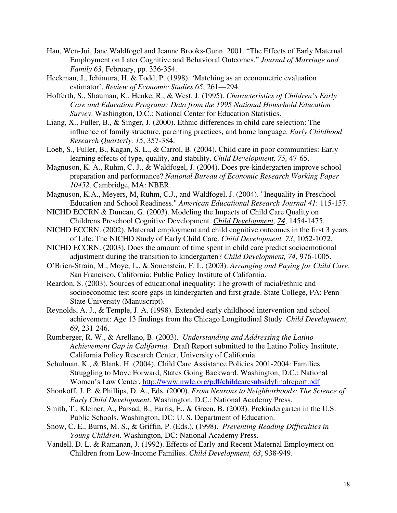- Han, Wen-Jui, Jane Waldfogel and Jeanne Brooks-Gunn. 2001. "The Effects of Early Maternal Employment on Later Cognitive and Behavioral Outcomes." *Journal of Marriage and Family 63*, February, pp. 336-354.
- Heckman, J., Ichimura, H. & Todd, P. (1998), 'Matching as an econometric evaluation estimator', *Review of Economic Studies 65*, 261—294.
- Hofferth, S., Shauman, K., Henke, R., & West, J. (1995). *Characteristics of Children's Early Care and Education Programs: Data from the 1995 National Household Education Survey*. Washington, D.C.: National Center for Education Statistics.
- Liang, X., Fuller, B., & Singer, J. (2000). Ethnic differences in child care selection: The influence of family structure, parenting practices, and home language. *Early Childhood Research Quarterly, 15*, 357-384.
- Loeb, S., Fuller, B., Kagan, S. L., & Carrol, B. (2004). Child care in poor communities: Early learning effects of type, quality, and stability. *Child Development, 75,* 47-65.
- Magnuson, K. A., Ruhm, C. J., & Waldfogel, J. (2004). Does pre-kindergarten improve school preparation and performance? *National Bureau of Economic Research Working Paper 10452*. Cambridge, MA: NBER.
- Magnuson, K.A., Meyers, M, Ruhm, C.J., and Waldfogel, J. (2004). "Inequality in Preschool Education and School Readiness." *American Educational Research Journal 41*: 115-157.
- NICHD ECCRN & Duncan, G. (2003). Modeling the Impacts of Child Care Quality on Childrens Preschool Cognitive Development. *Child Development, 74*, 1454-1475.
- NICHD ECCRN. (2002). Maternal employment and child cognitive outcomes in the first 3 years of Life: The NICHD Study of Early Child Care. *Child Development, 73*, 1052-1072.
- NICHD ECCRN. (2003). Does the amount of time spent in child care predict socioemotional adjustment during the transition to kindergarten? *Child Development, 74*, 976-1005.
- O'Brien-Strain, M., Moye, L., & Sonenstein, F. L. (2003). *Arranging and Paying for Child Care*. San Francisco, California: Public Policy Institute of California.
- Reardon, S. (2003). Sources of educational inequality: The growth of racial/ethnic and socioeconomic test score gaps in kindergarten and first grade. State College, PA: Penn State University (Manuscript).
- Reynolds, A. J., & Temple, J. A. (1998). Extended early childhood intervention and school achievement: Age 13 findings from the Chicago Longitudinal Study. *Child Development, 69*, 231-246.
- Rumberger, R. W., & Arellano, B. (2003). *Understanding and Addressing the Latino Achievement Gap in California.* Draft Report submitted to the Latino Policy Institute, California Policy Research Center, University of California.
- Schulman, K., & Blank, H. (2004). Child Care Assistance Policies 2001-2004: Families Struggling to Move Forward, States Going Backward. Washington, D.C.: National Women's Law Center. http://www.nwlc.org/pdf/childcaresubsidyfinalreport.pdf
- Shonkoff, J. P. & Phillips, D. A., Eds. (2000). *From Neurons to Neighborhoods: The Science of Early Child Development*. Washington, D.C.: National Academy Press.
- Smith, T., Kleiner, A., Parsad, B., Farris, E., & Green, B. (2003). Prekindergarten in the U.S. Public Schools. Washington, DC: U. S. Department of Education.
- Snow, C. E., Burns, M. S., & Griffin, P. (Eds.). (1998). *Preventing Reading Difficulties in Young Children*. Washington, DC: National Academy Press.
- Vandell, D. L. & Ramanan, J. (1992). Effects of Early and Recent Maternal Employment on Children from Low-Income Families. *Child Development, 63*, 938-949.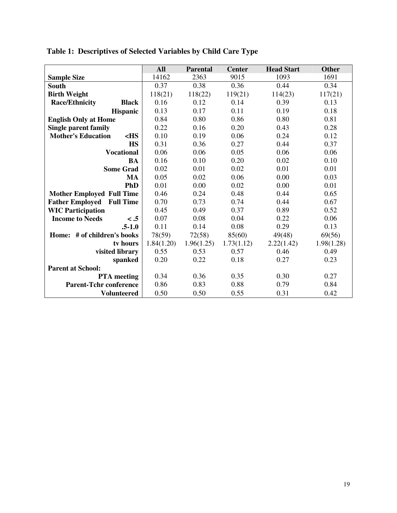|                                            | All        | <b>Parental</b> | <b>Center</b> | <b>Head Start</b> | <b>Other</b> |
|--------------------------------------------|------------|-----------------|---------------|-------------------|--------------|
| <b>Sample Size</b>                         | 14162      | 2363            | 9015          | 1093              | 1691         |
| South                                      | 0.37       | 0.38            | 0.36          | 0.44              | 0.34         |
| <b>Birth Weight</b>                        | 118(21)    | 118(22)         | 119(21)       | 114(23)           | 117(21)      |
| <b>Race/Ethnicity</b><br><b>Black</b>      | 0.16       | 0.12            | 0.14          | 0.39              | 0.13         |
| Hispanic                                   | 0.13       | 0.17            | 0.11          | 0.19              | 0.18         |
| <b>English Only at Home</b>                | 0.84       | 0.80            | 0.86          | 0.80              | 0.81         |
| <b>Single parent family</b>                | 0.22       | 0.16            | 0.20          | 0.43              | 0.28         |
| <b>Mother's Education</b><br>$<$ HS        | 0.10       | 0.19            | 0.06          | 0.24              | 0.12         |
| <b>HS</b>                                  | 0.31       | 0.36            | 0.27          | 0.44              | 0.37         |
| <b>Vocational</b>                          | 0.06       | 0.06            | 0.05          | 0.06              | 0.06         |
| <b>BA</b>                                  | 0.16       | 0.10            | 0.20          | 0.02              | 0.10         |
| <b>Some Grad</b>                           | 0.02       | 0.01            | 0.02          | 0.01              | 0.01         |
| <b>MA</b>                                  | 0.05       | 0.02            | 0.06          | 0.00              | 0.03         |
| PhD                                        | 0.01       | 0.00            | 0.02          | 0.00              | 0.01         |
| <b>Mother Employed Full Time</b>           | 0.46       | 0.24            | 0.48          | 0.44              | 0.65         |
| <b>Father Employed</b><br><b>Full Time</b> | 0.70       | 0.73            | 0.74          | 0.44              | 0.67         |
| <b>WIC Participation</b>                   | 0.45       | 0.49            | 0.37          | 0.89              | 0.52         |
| <b>Income to Needs</b><br>$\leq .5$        | 0.07       | 0.08            | 0.04          | 0.22              | 0.06         |
| $.5 - 1.0$                                 | 0.11       | 0.14            | 0.08          | 0.29              | 0.13         |
| Home: # of children's books                | 78(59)     | 72(58)          | 85(60)        | 49(48)            | 69(56)       |
| tv hours                                   | 1.84(1.20) | 1.96(1.25)      | 1.73(1.12)    | 2.22(1.42)        | 1.98(1.28)   |
| visited library                            | 0.55       | 0.53            | 0.57          | 0.46              | 0.49         |
| spanked                                    | 0.20       | 0.22            | 0.18          | 0.27              | 0.23         |
| <b>Parent at School:</b>                   |            |                 |               |                   |              |
| <b>PTA</b> meeting                         | 0.34       | 0.36            | 0.35          | 0.30              | 0.27         |
| <b>Parent-Tchr conference</b>              | 0.86       | 0.83            | 0.88          | 0.79              | 0.84         |
| <b>Volunteered</b>                         | 0.50       | 0.50            | 0.55          | 0.31              | 0.42         |

# **Table 1: Descriptives of Selected Variables by Child Care Type**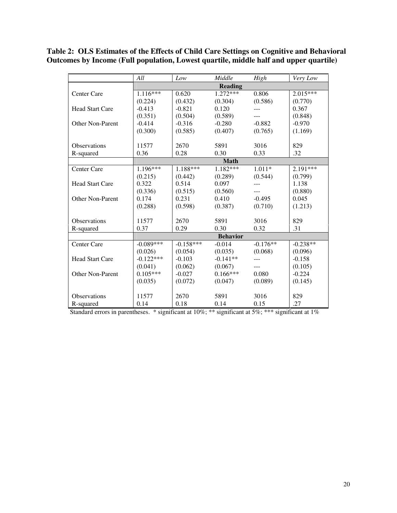**Table 2: OLS Estimates of the Effects of Child Care Settings on Cognitive and Behavioral Outcomes by Income (Full population, Lowest quartile, middle half and upper quartile)**

 $\overline{a}$ 

|                        | All             | Low         | Middle      | High       | Very Low   |
|------------------------|-----------------|-------------|-------------|------------|------------|
|                        | <b>Reading</b>  |             |             |            |            |
| <b>Center Care</b>     | $1.116***$      | 0.620       | $1.272***$  | 0.806      | $2.015***$ |
|                        | (0.224)         | (0.432)     | (0.304)     | (0.586)    | (0.770)    |
| <b>Head Start Care</b> | $-0.413$        | $-0.821$    | 0.120       | ---        | 0.367      |
|                        | (0.351)         | (0.504)     | (0.589)     |            | (0.848)    |
| Other Non-Parent       | $-0.414$        | $-0.316$    | $-0.280$    | $-0.882$   | $-0.970$   |
|                        | (0.300)         | (0.585)     | (0.407)     | (0.765)    | (1.169)    |
|                        |                 |             |             |            |            |
| Observations           | 11577           | 2670        | 5891        | 3016       | 829        |
| R-squared              | 0.36            | 0.28        | 0.30        | 0.33       | .32        |
|                        |                 |             | <b>Math</b> |            |            |
| Center Care            | $1.196***$      | $1.188***$  | $1.182***$  | $1.011*$   | $2.191***$ |
|                        | (0.215)         | (0.442)     | (0.289)     | (0.544)    | (0.799)    |
| <b>Head Start Care</b> | 0.322           | 0.514       | 0.097       |            | 1.138      |
|                        | (0.336)         | (0.515)     | (0.560)     | ---        | (0.880)    |
| Other Non-Parent       | 0.174           | 0.231       | 0.410       | $-0.495$   | 0.045      |
|                        | (0.288)         | (0.598)     | (0.387)     | (0.710)    | (1.213)    |
|                        |                 |             |             |            |            |
| <b>Observations</b>    | 11577           | 2670        | 5891        | 3016       | 829        |
| R-squared              | 0.37            | 0.29        | 0.30        | 0.32       | .31        |
|                        | <b>Behavior</b> |             |             |            |            |
| <b>Center Care</b>     | $-0.089***$     | $-0.158***$ | $-0.014$    | $-0.176**$ | $-0.238**$ |
|                        | (0.026)         | (0.054)     | (0.035)     | (0.068)    | (0.096)    |
| <b>Head Start Care</b> | $-0.122***$     | $-0.103$    | $-0.141**$  |            | $-0.158$   |
|                        | (0.041)         | (0.062)     | (0.067)     | ---        | (0.105)    |
| Other Non-Parent       | $0.105***$      | $-0.027$    | $0.166***$  | 0.080      | $-0.224$   |
|                        | (0.035)         | (0.072)     | (0.047)     | (0.089)    | (0.145)    |
|                        |                 |             |             |            |            |
| Observations           | 11577           | 2670        | 5891        | 3016       | 829        |
| R-squared              | 0.14            | 0.18        | 0.14        | 0.15       | .27        |

Standard errors in parentheses. \* significant at 10%; \*\* significant at 5%; \*\*\* significant at 1%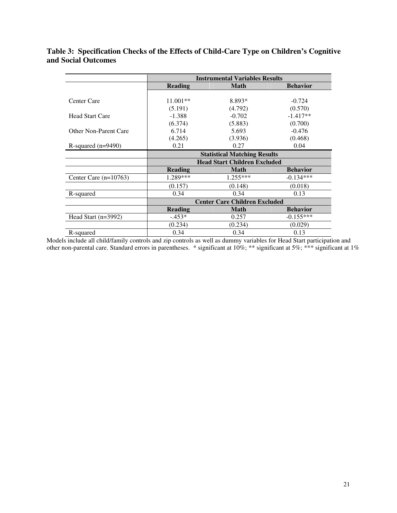# **Table 3: Specification Checks of the Effects of Child-Care Type on Children's Cognitive and Social Outcomes**

|                              | <b>Instrumental Variables Results</b> |                                     |                 |  |  |  |  |
|------------------------------|---------------------------------------|-------------------------------------|-----------------|--|--|--|--|
|                              | <b>Reading</b>                        | Math                                | <b>Behavior</b> |  |  |  |  |
|                              |                                       |                                     |                 |  |  |  |  |
| Center Care                  | $11.001**$                            | 8.893*                              | $-0.724$        |  |  |  |  |
|                              | (5.191)                               | (4.792)                             | (0.570)         |  |  |  |  |
| <b>Head Start Care</b>       | $-1.388$                              | $-0.702$                            | $-1.417**$      |  |  |  |  |
|                              | (6.374)                               | (5.883)                             | (0.700)         |  |  |  |  |
| <b>Other Non-Parent Care</b> | 6.714                                 | 5.693                               | $-0.476$        |  |  |  |  |
|                              | (4.265)                               | (3.936)                             | (0.468)         |  |  |  |  |
| R-squared $(n=9490)$         | 0.21                                  | 0.27                                | 0.04            |  |  |  |  |
|                              |                                       | <b>Statistical Matching Results</b> |                 |  |  |  |  |
|                              |                                       | <b>Head Start Children Excluded</b> |                 |  |  |  |  |
|                              | Reading                               | Math                                | <b>Behavior</b> |  |  |  |  |
| Center Care $(n=10763)$      | 1.289***                              | $1.255***$                          | $-0.134***$     |  |  |  |  |
|                              | (0.157)                               | (0.148)                             | (0.018)         |  |  |  |  |
| R-squared                    | 0.34                                  | 0.34                                | 0.13            |  |  |  |  |
|                              | <b>Center Care Children Excluded</b>  |                                     |                 |  |  |  |  |
|                              | <b>Reading</b>                        | <b>Math</b>                         | <b>Behavior</b> |  |  |  |  |
| Head Start $(n=3992)$        | $-453*$                               | 0.257                               | $-0.155***$     |  |  |  |  |
|                              | (0.234)                               | (0.234)                             | (0.029)         |  |  |  |  |
| R-squared                    | 0.34                                  | 0.34                                | 0.13            |  |  |  |  |

Models include all child/family controls and zip controls as well as dummy variables for Head Start participation and other non-parental care. Standard errors in parentheses. \* significant at 10%; \*\* significant at 5%; \*\*\* significant at 1%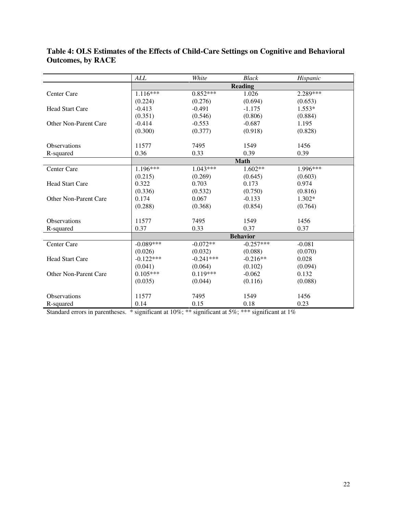# **Table 4: OLS Estimates of the Effects of Child-Care Settings on Cognitive and Behavioral Outcomes, by RACE**

|                        | <b>ALL</b>      | White       | <b>Black</b> | Hispanic   |  |  |
|------------------------|-----------------|-------------|--------------|------------|--|--|
|                        | <b>Reading</b>  |             |              |            |  |  |
| Center Care            | $1.116***$      | $0.852***$  | 1.026        | 2.289***   |  |  |
|                        | (0.224)         | (0.276)     | (0.694)      | (0.653)    |  |  |
| <b>Head Start Care</b> | $-0.413$        | $-0.491$    | $-1.175$     | $1.553*$   |  |  |
|                        | (0.351)         | (0.546)     | (0.806)      | (0.884)    |  |  |
| Other Non-Parent Care  | $-0.414$        | $-0.553$    | $-0.687$     | 1.195      |  |  |
|                        | (0.300)         | (0.377)     | (0.918)      | (0.828)    |  |  |
|                        |                 |             |              |            |  |  |
| <b>Observations</b>    | 11577           | 7495        | 1549         | 1456       |  |  |
| R-squared              | 0.36            | 0.33        | 0.39         | 0.39       |  |  |
|                        |                 |             | <b>Math</b>  |            |  |  |
| Center Care            | $1.196***$      | $1.043***$  | $1.602**$    | $1.996***$ |  |  |
|                        | (0.215)         | (0.269)     | (0.645)      | (0.603)    |  |  |
| <b>Head Start Care</b> | 0.322           | 0.703       | 0.173        | 0.974      |  |  |
|                        | (0.336)         | (0.532)     | (0.750)      | (0.816)    |  |  |
| Other Non-Parent Care  | 0.174           | 0.067       | $-0.133$     | 1.302*     |  |  |
|                        | (0.288)         | (0.368)     | (0.854)      | (0.764)    |  |  |
|                        |                 |             |              |            |  |  |
| <b>Observations</b>    | 11577           | 7495        | 1549         | 1456       |  |  |
| R-squared              | 0.37            | 0.33        | 0.37         | 0.37       |  |  |
|                        | <b>Behavior</b> |             |              |            |  |  |
| Center Care            | $-0.089***$     | $-0.072**$  | $-0.257***$  | $-0.081$   |  |  |
|                        | (0.026)         | (0.032)     | (0.088)      | (0.070)    |  |  |
| <b>Head Start Care</b> | $-0.122***$     | $-0.241***$ | $-0.216**$   | 0.028      |  |  |
|                        | (0.041)         | (0.064)     | (0.102)      | (0.094)    |  |  |
| Other Non-Parent Care  | $0.105***$      | $0.119***$  | $-0.062$     | 0.132      |  |  |
|                        | (0.035)         | (0.044)     | (0.116)      | (0.088)    |  |  |
|                        |                 |             |              |            |  |  |
| Observations           | 11577           | 7495        | 1549         | 1456       |  |  |
| R-squared              | 0.14            | 0.15        | 0.18         | 0.23       |  |  |

Standard errors in parentheses. \* significant at 10%; \*\* significant at 5%; \*\*\* significant at 1%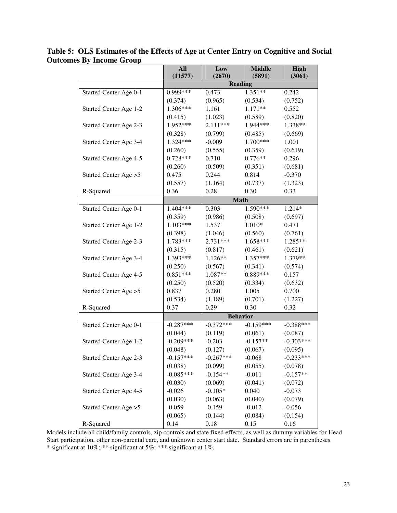|                        | All<br>(11577) | Low<br>(2670)  | <b>Middle</b><br>(5891) | <b>High</b><br>(3061) |  |
|------------------------|----------------|----------------|-------------------------|-----------------------|--|
|                        |                | <b>Reading</b> |                         |                       |  |
| Started Center Age 0-1 | 0.999***       | 0.473          | $1.351**$               | 0.242                 |  |
|                        | (0.374)        | (0.965)        | (0.534)                 | (0.752)               |  |
| Started Center Age 1-2 | 1.306***       | 1.161          | $1.171**$               | 0.552                 |  |
|                        | (0.415)        | (1.023)        | (0.589)                 | (0.820)               |  |
| Started Center Age 2-3 | 1.952***       | 2.111***       | 1.944***                | 1.338**               |  |
|                        | (0.328)        | (0.799)        | (0.485)                 | (0.669)               |  |
| Started Center Age 3-4 | 1.324***       | $-0.009$       | 1.700***                | 1.001                 |  |
|                        | (0.260)        | (0.555)        | (0.359)                 | (0.619)               |  |
| Started Center Age 4-5 | $0.728***$     | 0.710          | $0.776**$               | 0.296                 |  |
|                        | (0.260)        | (0.509)        | (0.351)                 | (0.681)               |  |
| Started Center Age > 5 | 0.475          | 0.244          | 0.814                   | $-0.370$              |  |
|                        | (0.557)        | (1.164)        | (0.737)                 | (1.323)               |  |
| R-Squared              | 0.36           | 0.28           | 0.30                    | 0.33                  |  |
|                        |                |                | <b>Math</b>             |                       |  |
| Started Center Age 0-1 | $1.404***$     | 0.303          | 1.590***                | 1.214*                |  |
|                        | (0.359)        | (0.986)        | (0.508)                 | (0.697)               |  |
| Started Center Age 1-2 | $1.103***$     | 1.537          | $1.010*$                | 0.471                 |  |
|                        | (0.398)        | (1.046)        | (0.560)                 | (0.761)               |  |
| Started Center Age 2-3 | 1.783***       | 2.731***       | $1.658***$              | 1.285**               |  |
|                        | (0.315)        | (0.817)        | (0.461)                 | (0.621)               |  |
| Started Center Age 3-4 | 1.393***       | $1.126**$      | $1.357***$              | 1.379**               |  |
|                        | (0.250)        | (0.567)        | (0.341)                 | (0.574)               |  |
| Started Center Age 4-5 | $0.851***$     | 1.087**        | $0.889***$              | 0.157                 |  |
|                        | (0.250)        | (0.520)        | (0.334)                 | (0.632)               |  |
| Started Center Age > 5 | 0.837          | 0.280          | 1.005                   | 0.700                 |  |
|                        | (0.534)        | (1.189)        | (0.701)                 | (1.227)               |  |
| R-Squared              | 0.37           | 0.29           | 0.30                    | 0.32                  |  |
|                        |                |                | <b>Behavior</b>         |                       |  |
| Started Center Age 0-1 | $-0.287***$    | $-0.372***$    | $-0.159***$             | $-0.388***$           |  |
|                        | (0.044)        | (0.119)        | (0.061)                 | (0.087)               |  |
| Started Center Age 1-2 | $-0.209***$    | $-0.203$       | $-0.157**$              | $-0.303***$           |  |
|                        | (0.048)        | (0.127)        | (0.067)                 | (0.095)               |  |
| Started Center Age 2-3 | $-0.157***$    | $-0.267***$    | $-0.068$                | $-0.233***$           |  |
|                        | (0.038)        | (0.099)        | (0.055)                 | (0.078)               |  |
| Started Center Age 3-4 | $-0.085***$    | $-0.154**$     | $-0.011$                | $-0.157**$            |  |
|                        | (0.030)        | (0.069)        | (0.041)                 | (0.072)               |  |
| Started Center Age 4-5 | $-0.026$       | $-0.105*$      | 0.040                   | $-0.073$              |  |
|                        | (0.030)        | (0.063)        | (0.040)                 | (0.079)               |  |
| Started Center Age > 5 | $-0.059$       | $-0.159$       | $-0.012$                | $-0.056$              |  |
|                        | (0.065)        | (0.144)        | (0.084)                 | (0.154)               |  |
| R-Squared              | 0.14           | 0.18           | 0.15                    | 0.16                  |  |

**Table 5: OLS Estimates of the Effects of Age at Center Entry on Cognitive and Social Outcomes By Income Group**

Models include all child/family controls, zip controls and state fixed effects, as well as dummy variables for Head Start participation, other non-parental care, and unknown center start date. Standard errors are in parentheses. \* significant at 10%; \*\* significant at 5%; \*\*\* significant at 1%.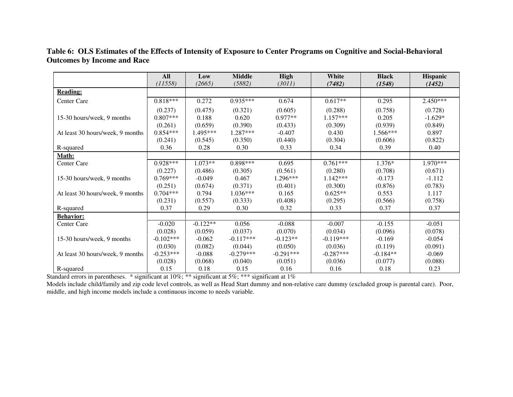|                                  | All         | Low        | <b>Middle</b> | <b>High</b> | White       | <b>Black</b> | <b>Hispanic</b> |
|----------------------------------|-------------|------------|---------------|-------------|-------------|--------------|-----------------|
|                                  | (11558)     | (2665)     | (5882)        | (3011)      | (7482)      | (1548)       | (1452)          |
| <b>Reading:</b>                  |             |            |               |             |             |              |                 |
| <b>Center Care</b>               | $0.818***$  | 0.272      | $0.935***$    | 0.674       | $0.617**$   | 0.295        | $2.450***$      |
|                                  | (0.237)     | (0.475)    | (0.321)       | (0.605)     | (0.288)     | (0.758)      | (0.728)         |
| 15-30 hours/week, 9 months       | $0.807***$  | 0.188      | 0.620         | $0.977**$   | $1.157***$  | 0.205        | $-1.629*$       |
|                                  | (0.261)     | (0.659)    | (0.390)       | (0.433)     | (0.309)     | (0.939)      | (0.849)         |
| At least 30 hours/week, 9 months | $0.854***$  | 1.495***   | $1.287***$    | $-0.407$    | 0.430       | 1.566***     | 0.897           |
|                                  | (0.241)     | (0.545)    | (0.350)       | (0.440)     | (0.304)     | (0.606)      | (0.822)         |
| R-squared                        | 0.36        | 0.28       | 0.30          | 0.33        | 0.34        | 0.39         | 0.40            |
| Math:                            |             |            |               |             |             |              |                 |
| Center Care                      | $0.928***$  | $1.073**$  | $0.898***$    | 0.695       | $0.761***$  | $1.376*$     | 1.970***        |
|                                  | (0.227)     | (0.486)    | (0.305)       | (0.561)     | (0.280)     | (0.708)      | (0.671)         |
| 15-30 hours/week, 9 months       | $0.769***$  | $-0.049$   | 0.467         | 1.296***    | $1.142***$  | $-0.173$     | $-1.112$        |
|                                  | (0.251)     | (0.674)    | (0.371)       | (0.401)     | (0.300)     | (0.876)      | (0.783)         |
| At least 30 hours/week, 9 months | $0.704***$  | 0.794      | $1.036***$    | 0.165       | $0.625**$   | 0.553        | 1.117           |
|                                  | (0.231)     | (0.557)    | (0.333)       | (0.408)     | (0.295)     | (0.566)      | (0.758)         |
| R-squared                        | 0.37        | 0.29       | 0.30          | 0.32        | 0.33        | 0.37         | 0.37            |
| <b>Behavior:</b>                 |             |            |               |             |             |              |                 |
| <b>Center Care</b>               | $-0.020$    | $-0.122**$ | 0.056         | $-0.088$    | $-0.007$    | $-0.155$     | $-0.051$        |
|                                  | (0.028)     | (0.059)    | (0.037)       | (0.070)     | (0.034)     | (0.096)      | (0.078)         |
| 15-30 hours/week, 9 months       | $-0.102***$ | $-0.062$   | $-0.117***$   | $-0.123**$  | $-0.119***$ | $-0.169$     | $-0.054$        |
|                                  | (0.030)     | (0.082)    | (0.044)       | (0.050)     | (0.036)     | (0.119)      | (0.091)         |
| At least 30 hours/week, 9 months | $-0.253***$ | $-0.088$   | $-0.279***$   | $-0.291***$ | $-0.287***$ | $-0.184**$   | $-0.069$        |
|                                  | (0.028)     | (0.068)    | (0.040)       | (0.051)     | (0.036)     | (0.077)      | (0.088)         |
| R-squared                        | 0.15        | 0.18       | 0.15          | 0.16        | 0.16        | 0.18         | 0.23            |

Table 6: OLS Estimates of the Effects of Intensity of Exposure to Center Programs on Cognitive and Social-Behavioral **Outcomes by Income and Race**

Standard errors in parentheses. \* significant at 10%; \*\* significant at 5%; \*\*\* significant at 1%

Models include child/family and zip code level controls, as well as Head Start dummy and non-relative care dummy (excluded group is parental care). Poor, middle, and high income models include <sup>a</sup> continuous income to needs variable.